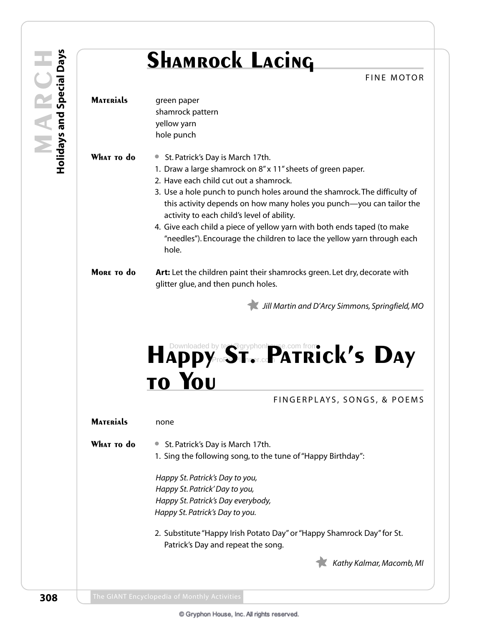## **SHAMROCK LACING**

|                  | <b>SHAMROCK LACING</b><br><b>FINE MOTOR</b>                                                                                                                                                     |
|------------------|-------------------------------------------------------------------------------------------------------------------------------------------------------------------------------------------------|
| <b>MATERIALS</b> |                                                                                                                                                                                                 |
|                  | green paper<br>shamrock pattern                                                                                                                                                                 |
|                  | yellow yarn                                                                                                                                                                                     |
|                  | hole punch                                                                                                                                                                                      |
| WHAT TO do       | St. Patrick's Day is March 17th.<br>$\bullet$                                                                                                                                                   |
|                  | 1. Draw a large shamrock on 8" x 11" sheets of green paper.                                                                                                                                     |
|                  | 2. Have each child cut out a shamrock.                                                                                                                                                          |
|                  | 3. Use a hole punch to punch holes around the shamrock. The difficulty of<br>this activity depends on how many holes you punch—you can tailor the<br>activity to each child's level of ability. |
|                  | 4. Give each child a piece of yellow yarn with both ends taped (to make                                                                                                                         |
|                  | "needles"). Encourage the children to lace the yellow yarn through each<br>hole.                                                                                                                |
| MORE TO do       | Art: Let the children paint their shamrocks green. Let dry, decorate with                                                                                                                       |
|                  | glitter glue, and then punch holes.                                                                                                                                                             |
|                  | Jill Martin and D'Arcy Simmons, Springfield, MO                                                                                                                                                 |
|                  | HAPPY TO BE THE LOCATRICK'S DAY                                                                                                                                                                 |
|                  |                                                                                                                                                                                                 |
| <b>MATERIALS</b> | none                                                                                                                                                                                            |
| WHAT TO do       | St. Patrick's Day is March 17th.<br>$\bullet$                                                                                                                                                   |
|                  | 1. Sing the following song, to the tune of "Happy Birthday":                                                                                                                                    |
|                  | Happy St. Patrick's Day to you,                                                                                                                                                                 |
|                  | Happy St. Patrick' Day to you,                                                                                                                                                                  |
|                  | Happy St. Patrick's Day everybody,                                                                                                                                                              |
|                  | FINGERPLAYS, SONGS, & POEMS<br>Happy St. Patrick's Day to you.                                                                                                                                  |
|                  | 2. Substitute "Happy Irish Potato Day" or "Happy Shamrock Day" for St.<br>Patrick's Day and repeat the song.                                                                                    |